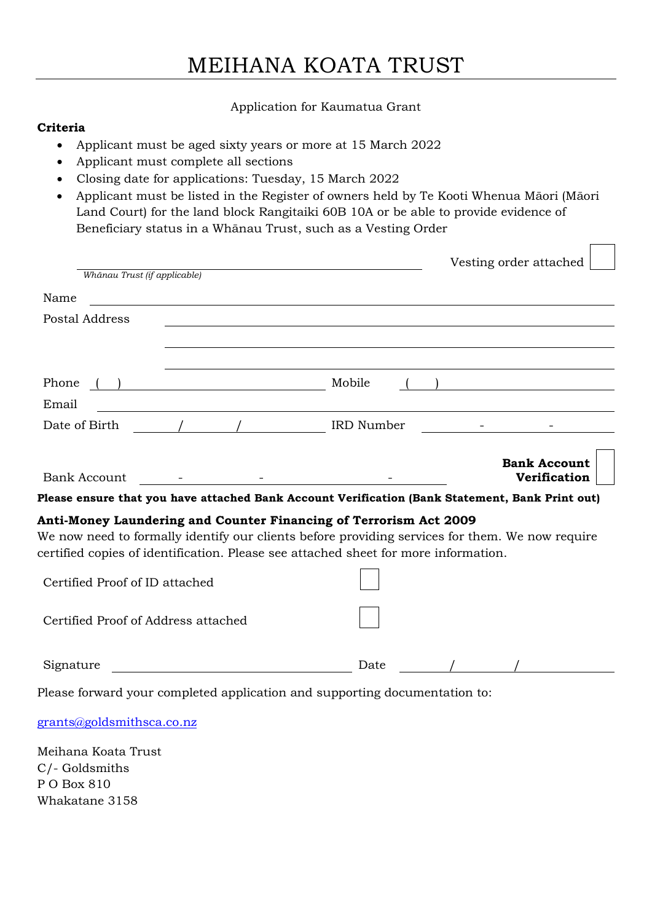## MEIHANA KOATA TRUST

### Application for Kaumatua Grant

### **Criteria**

- Applicant must be aged sixty years or more at 15 March 2022
- Applicant must complete all sections
- Closing date for applications: Tuesday, 15 March 2022
- Applicant must be listed in the Register of owners held by Te Kooti Whenua Māori (Māori Land Court) for the land block Rangitaiki 60B 10A or be able to provide evidence of Beneficiary status in a Whānau Trust, such as a Vesting Order

|                                     |                                                                                                                        |                                                                                                                       | Vesting order attached |
|-------------------------------------|------------------------------------------------------------------------------------------------------------------------|-----------------------------------------------------------------------------------------------------------------------|------------------------|
| Whānau Trust (if applicable)        |                                                                                                                        |                                                                                                                       |                        |
| Name                                |                                                                                                                        |                                                                                                                       |                        |
| Postal Address                      |                                                                                                                        | <u>and the state of the state of the state of the state of the state of the state of the state of the state of th</u> |                        |
|                                     |                                                                                                                        |                                                                                                                       |                        |
|                                     |                                                                                                                        |                                                                                                                       |                        |
| Phone                               | $\overline{\phantom{a}}$                                                                                               | Mobile                                                                                                                |                        |
| Email                               | <u> 1989 - Johann Stoff, deutscher Stoffen und der Stoffen und der Stoffen und der Stoffen und der Stoffen und der</u> |                                                                                                                       |                        |
| Date of Birth                       |                                                                                                                        | IRD Number                                                                                                            |                        |
|                                     |                                                                                                                        |                                                                                                                       |                        |
|                                     |                                                                                                                        |                                                                                                                       | <b>Bank Account</b>    |
| <b>Bank Account</b>                 |                                                                                                                        | the control of the state of the control of the                                                                        | <b>Verification</b>    |
|                                     |                                                                                                                        | Please ensure that you have attached Bank Account Verification (Bank Statement, Bank Print out)                       |                        |
|                                     |                                                                                                                        | Anti-Money Laundering and Counter Financing of Terrorism Act 2009                                                     |                        |
|                                     |                                                                                                                        | We now need to formally identify our clients before providing services for them. We now require                       |                        |
|                                     |                                                                                                                        | certified copies of identification. Please see attached sheet for more information.                                   |                        |
| Certified Proof of ID attached      |                                                                                                                        |                                                                                                                       |                        |
| Certified Proof of Address attached |                                                                                                                        |                                                                                                                       |                        |
| Signature                           |                                                                                                                        | Date                                                                                                                  |                        |
|                                     |                                                                                                                        | Please forward your completed application and supporting documentation to:                                            |                        |

[grants@goldsmithsca.co.nz](mailto:grants@goldsmithsca.co.nz)

Meihana Koata Trust C/- Goldsmiths P O Box 810 Whakatane 3158